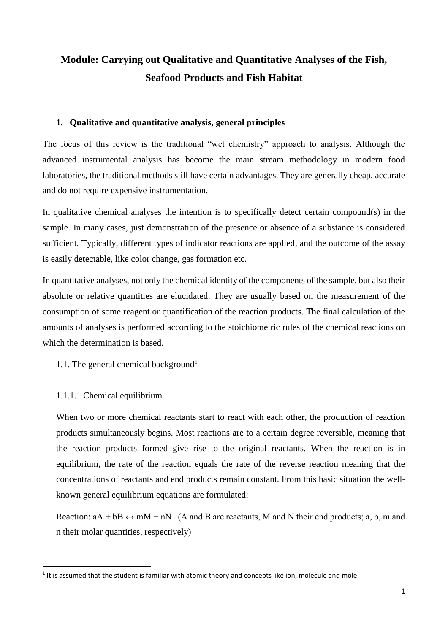# **Module: Carrying out Qualitative and Quantitative Analyses of the Fish, Seafood Products and Fish Habitat**

# **1. Qualitative and quantitative analysis, general principles**

The focus of this review is the traditional "wet chemistry" approach to analysis. Although the advanced instrumental analysis has become the main stream methodology in modern food laboratories, the traditional methods still have certain advantages. They are generally cheap, accurate and do not require expensive instrumentation.

In qualitative chemical analyses the intention is to specifically detect certain compound(s) in the sample. In many cases, just demonstration of the presence or absence of a substance is considered sufficient. Typically, different types of indicator reactions are applied, and the outcome of the assay is easily detectable, like color change, gas formation etc.

In quantitative analyses, not only the chemical identity of the components of the sample, but also their absolute or relative quantities are elucidated. They are usually based on the measurement of the consumption of some reagent or quantification of the reaction products. The final calculation of the amounts of analyses is performed according to the stoichiometric rules of the chemical reactions on which the determination is based.

- 1.1. The general chemical background<sup>1</sup>
- 1.1.1. Chemical equilibrium

**.** 

When two or more chemical reactants start to react with each other, the production of reaction products simultaneously begins. Most reactions are to a certain degree reversible, meaning that the reaction products formed give rise to the original reactants. When the reaction is in equilibrium, the rate of the reaction equals the rate of the reverse reaction meaning that the concentrations of reactants and end products remain constant. From this basic situation the wellknown general equilibrium equations are formulated:

Reaction:  $aA + bB \leftrightarrow mM + nN$  (A and B are reactants, M and N their end products; a, b, m and n their molar quantities, respectively)

 $<sup>1</sup>$  It is assumed that the student is familiar with atomic theory and concepts like ion, molecule and mole</sup>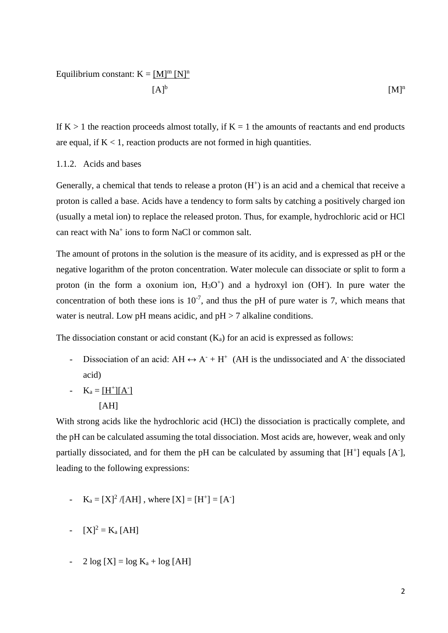# Equilibrium constant:  $K = [M]^m [N]^n$

$$
[A]^b \qquad \qquad [M]^n
$$

If  $K > 1$  the reaction proceeds almost totally, if  $K = 1$  the amounts of reactants and end products are equal, if  $K < 1$ , reaction products are not formed in high quantities.

#### 1.1.2. Acids and bases

Generally, a chemical that tends to release a proton  $(H<sup>+</sup>)$  is an acid and a chemical that receive a proton is called a base. Acids have a tendency to form salts by catching a positively charged ion (usually a metal ion) to replace the released proton. Thus, for example, hydrochloric acid or HCl can react with Na<sup>+</sup> ions to form NaCl or common salt.

The amount of protons in the solution is the measure of its acidity, and is expressed as pH or the negative logarithm of the proton concentration. Water molecule can dissociate or split to form a proton (in the form a oxonium ion,  $H_3O^+$ ) and a hydroxyl ion (OH $\cdot$ ). In pure water the concentration of both these ions is  $10^{-7}$ , and thus the pH of pure water is 7, which means that water is neutral. Low pH means acidic, and  $pH > 7$  alkaline conditions.

The dissociation constant or acid constant  $(K_a)$  for an acid is expressed as follows:

- Dissociation of an acid:  $AH \leftrightarrow A^- + H^+$  (AH is the undissociated and A<sup>-</sup> the dissociated acid)
- $K_a = [H^+][A^-]$ [AH]

With strong acids like the hydrochloric acid (HCl) the dissociation is practically complete, and the pH can be calculated assuming the total dissociation. Most acids are, however, weak and only partially dissociated, and for them the pH can be calculated by assuming that  $[H^+]$  equals  $[A^+]$ , leading to the following expressions:

-  $K_a = [X]^2 / [AH]$ , where  $[X] = [H^+] = [A^+]$ 

-  $[X]^2 = K_a$  [AH]

- 2  $log [X] = log K_a + log [AH]$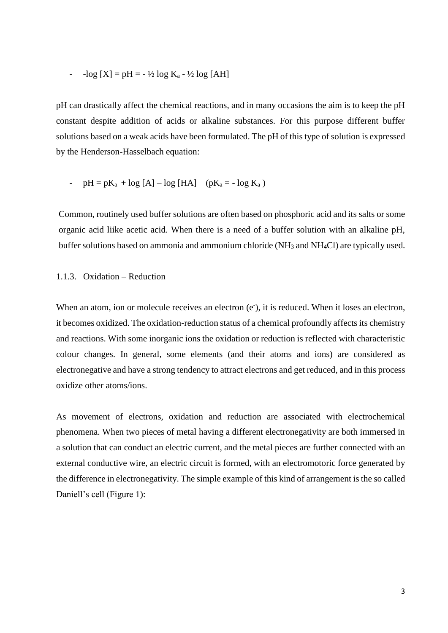$-$ log  $[X] = pH = -\frac{1}{2} log K_a - \frac{1}{2} log [AH]$ 

pH can drastically affect the chemical reactions, and in many occasions the aim is to keep the pH constant despite addition of acids or alkaline substances. For this purpose different buffer solutions based on a weak acids have been formulated. The pH of this type of solution is expressed by the Henderson-Hasselbach equation:

- 
$$
pH = pK_a + log [A] - log [HA]
$$
  $(pK_a = -log K_a)$ 

Common, routinely used buffer solutions are often based on phosphoric acid and its salts or some organic acid liike acetic acid. When there is a need of a buffer solution with an alkaline pH, buffer solutions based on ammonia and ammonium chloride (NH<sup>3</sup> and NH4Cl) are typically used.

#### 1.1.3. Oxidation – Reduction

When an atom, ion or molecule receives an electron (e<sup>-</sup>), it is reduced. When it loses an electron, it becomes oxidized. The oxidation-reduction status of a chemical profoundly affects its chemistry and reactions. With some inorganic ions the oxidation or reduction is reflected with characteristic colour changes. In general, some elements (and their atoms and ions) are considered as electronegative and have a strong tendency to attract electrons and get reduced, and in this process oxidize other atoms/ions.

As movement of electrons, oxidation and reduction are associated with electrochemical phenomena. When two pieces of metal having a different electronegativity are both immersed in a solution that can conduct an electric current, and the metal pieces are further connected with an external conductive wire, an electric circuit is formed, with an electromotoric force generated by the difference in electronegativity. The simple example of this kind of arrangement is the so called Daniell's cell (Figure 1):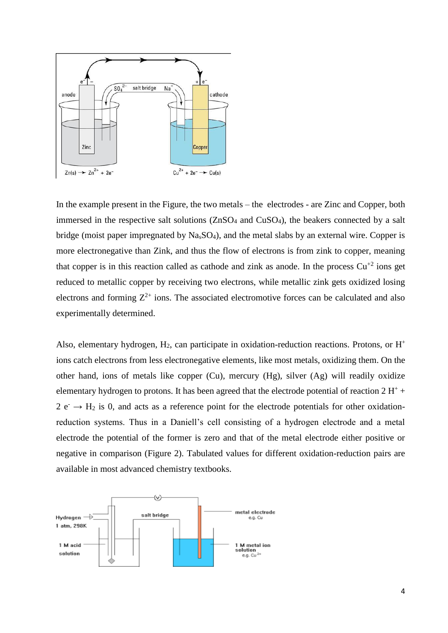

In the example present in the Figure, the two metals – the electrodes - are Zinc and Copper, both immersed in the respective salt solutions (ZnSO<sup>4</sup> and CuSO4), the beakers connected by a salt bridge (moist paper impregnated by NasSO4), and the metal slabs by an external wire. Copper is more electronegative than Zink, and thus the flow of electrons is from zink to copper, meaning that copper is in this reaction called as cathode and zink as anode. In the process  $Cu^{+2}$  ions get reduced to metallic copper by receiving two electrons, while metallic zink gets oxidized losing electrons and forming  $Z^{2+}$  ions. The associated electromotive forces can be calculated and also experimentally determined.

Also, elementary hydrogen, H<sub>2</sub>, can participate in oxidation-reduction reactions. Protons, or H<sup>+</sup> ions catch electrons from less electronegative elements, like most metals, oxidizing them. On the other hand, ions of metals like copper (Cu), mercury (Hg), silver (Ag) will readily oxidize elementary hydrogen to protons. It has been agreed that the electrode potential of reaction  $2 H<sup>+</sup> +$  $2 e^- \rightarrow H_2$  is 0, and acts as a reference point for the electrode potentials for other oxidationreduction systems. Thus in a Daniell's cell consisting of a hydrogen electrode and a metal electrode the potential of the former is zero and that of the metal electrode either positive or negative in comparison (Figure 2). Tabulated values for different oxidation-reduction pairs are available in most advanced chemistry textbooks.

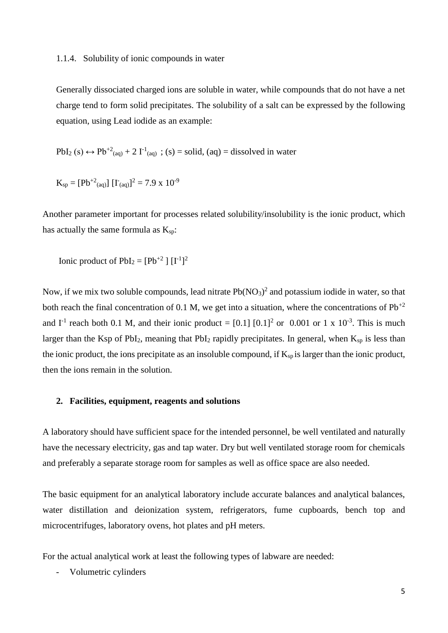#### 1.1.4. Solubility of ionic compounds in water

Generally dissociated charged ions are soluble in water, while compounds that do not have a net charge tend to form solid precipitates. The solubility of a salt can be expressed by the following equation, using Lead iodide as an example:

 $PbI_2$  (s)  $\leftrightarrow Pb^{+2}$ <sub>(aq)</sub> + 2 I<sup>-1</sup><sub>(aq)</sub>; (s) = solid, (aq) = dissolved in water

 $K_{sp} = [Pb^{+2} (aq)] [I^{\dagger} (aq)]^2 = 7.9 \times 10^{-9}$ 

Another parameter important for processes related solubility/insolubility is the ionic product, which has actually the same formula as  $K_{sp}$ :

Ionic product of  $PbI_2 = [Pb^{+2}] [I^{-1}]^2$ 

Now, if we mix two soluble compounds, lead nitrate  $Pb(NO<sub>3</sub>)<sup>2</sup>$  and potassium iodide in water, so that both reach the final concentration of 0.1 M, we get into a situation, where the concentrations of  $Pb^{+2}$ and  $I^{-1}$  reach both 0.1 M, and their ionic product = [0.1] [0.1]<sup>2</sup> or 0.001 or 1 x 10<sup>-3</sup>. This is much larger than the Ksp of PbI<sub>2</sub>, meaning that PbI<sub>2</sub> rapidly precipitates. In general, when  $K_{sp}$  is less than the ionic product, the ions precipitate as an insoluble compound, if  $K_{sp}$  is larger than the ionic product, then the ions remain in the solution.

#### **2. Facilities, equipment, reagents and solutions**

A laboratory should have sufficient space for the intended personnel, be well ventilated and naturally have the necessary electricity, gas and tap water. Dry but well ventilated storage room for chemicals and preferably a separate storage room for samples as well as office space are also needed.

The basic equipment for an analytical laboratory include accurate balances and analytical balances, water distillation and deionization system, refrigerators, fume cupboards, bench top and microcentrifuges, laboratory ovens, hot plates and pH meters.

For the actual analytical work at least the following types of labware are needed:

Volumetric cylinders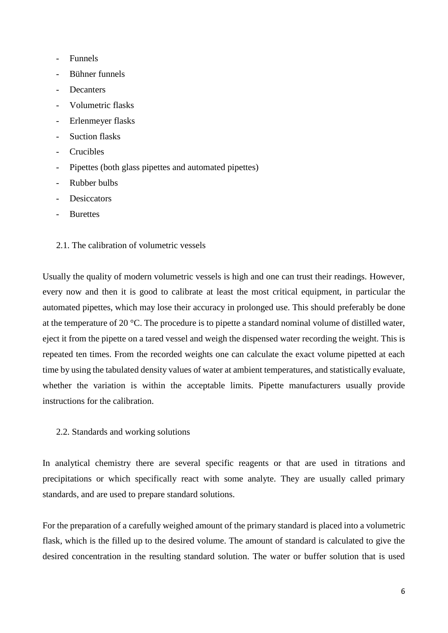- Funnels
- Bühner funnels
- Decanters
- Volumetric flasks
- Erlenmeyer flasks
- Suction flasks
- **Crucibles**
- Pipettes (both glass pipettes and automated pipettes)
- Rubber bulbs
- Desiccators
- **Burettes**
- 2.1. The calibration of volumetric vessels

Usually the quality of modern volumetric vessels is high and one can trust their readings. However, every now and then it is good to calibrate at least the most critical equipment, in particular the automated pipettes, which may lose their accuracy in prolonged use. This should preferably be done at the temperature of 20 °C. The procedure is to pipette a standard nominal volume of distilled water, eject it from the pipette on a tared vessel and weigh the dispensed water recording the weight. This is repeated ten times. From the recorded weights one can calculate the exact volume pipetted at each time by using the tabulated density values of water at ambient temperatures, and statistically evaluate, whether the variation is within the acceptable limits. Pipette manufacturers usually provide instructions for the calibration.

2.2. Standards and working solutions

In analytical chemistry there are several specific reagents or that are used in titrations and precipitations or which specifically react with some analyte. They are usually called primary standards, and are used to prepare standard solutions.

For the preparation of a carefully weighed amount of the primary standard is placed into a volumetric flask, which is the filled up to the desired volume. The amount of standard is calculated to give the desired concentration in the resulting standard solution. The water or buffer solution that is used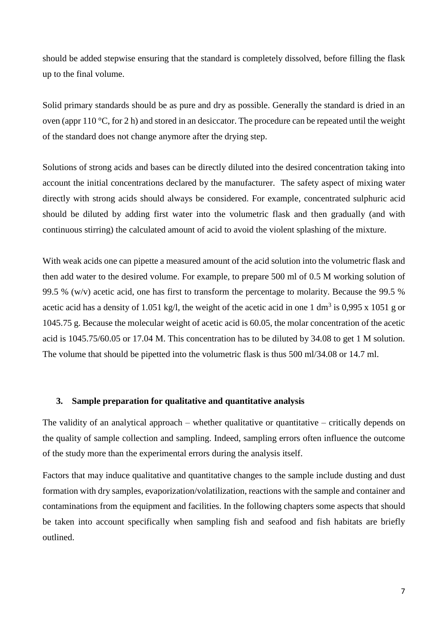should be added stepwise ensuring that the standard is completely dissolved, before filling the flask up to the final volume.

Solid primary standards should be as pure and dry as possible. Generally the standard is dried in an oven (appr 110 °C, for 2 h) and stored in an desiccator. The procedure can be repeated until the weight of the standard does not change anymore after the drying step.

Solutions of strong acids and bases can be directly diluted into the desired concentration taking into account the initial concentrations declared by the manufacturer. The safety aspect of mixing water directly with strong acids should always be considered. For example, concentrated sulphuric acid should be diluted by adding first water into the volumetric flask and then gradually (and with continuous stirring) the calculated amount of acid to avoid the violent splashing of the mixture.

With weak acids one can pipette a measured amount of the acid solution into the volumetric flask and then add water to the desired volume. For example, to prepare 500 ml of 0.5 M working solution of 99.5 % (w/v) acetic acid, one has first to transform the percentage to molarity. Because the 99.5 % acetic acid has a density of 1.051 kg/l, the weight of the acetic acid in one 1 dm<sup>3</sup> is 0,995 x 1051 g or 1045.75 g. Because the molecular weight of acetic acid is 60.05, the molar concentration of the acetic acid is 1045.75/60.05 or 17.04 M. This concentration has to be diluted by 34.08 to get 1 M solution. The volume that should be pipetted into the volumetric flask is thus 500 ml/34.08 or 14.7 ml.

#### **3. Sample preparation for qualitative and quantitative analysis**

The validity of an analytical approach – whether qualitative or quantitative – critically depends on the quality of sample collection and sampling. Indeed, sampling errors often influence the outcome of the study more than the experimental errors during the analysis itself.

Factors that may induce qualitative and quantitative changes to the sample include dusting and dust formation with dry samples, evaporization/volatilization, reactions with the sample and container and contaminations from the equipment and facilities. In the following chapters some aspects that should be taken into account specifically when sampling fish and seafood and fish habitats are briefly outlined.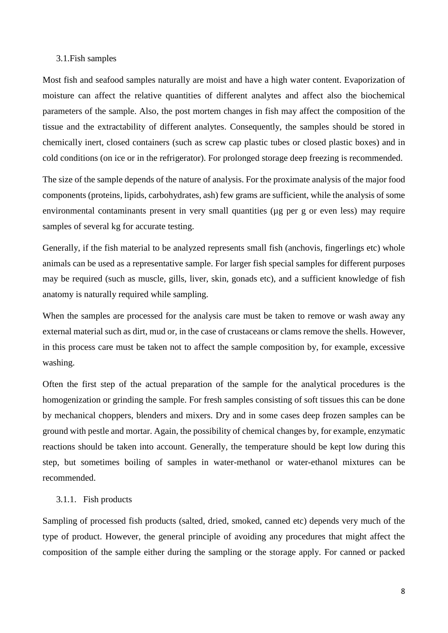#### 3.1.Fish samples

Most fish and seafood samples naturally are moist and have a high water content. Evaporization of moisture can affect the relative quantities of different analytes and affect also the biochemical parameters of the sample. Also, the post mortem changes in fish may affect the composition of the tissue and the extractability of different analytes. Consequently, the samples should be stored in chemically inert, closed containers (such as screw cap plastic tubes or closed plastic boxes) and in cold conditions (on ice or in the refrigerator). For prolonged storage deep freezing is recommended.

The size of the sample depends of the nature of analysis. For the proximate analysis of the major food components (proteins, lipids, carbohydrates, ash) few grams are sufficient, while the analysis of some environmental contaminants present in very small quantities (µg per g or even less) may require samples of several kg for accurate testing.

Generally, if the fish material to be analyzed represents small fish (anchovis, fingerlings etc) whole animals can be used as a representative sample. For larger fish special samples for different purposes may be required (such as muscle, gills, liver, skin, gonads etc), and a sufficient knowledge of fish anatomy is naturally required while sampling.

When the samples are processed for the analysis care must be taken to remove or wash away any external material such as dirt, mud or, in the case of crustaceans or clams remove the shells. However, in this process care must be taken not to affect the sample composition by, for example, excessive washing.

Often the first step of the actual preparation of the sample for the analytical procedures is the homogenization or grinding the sample. For fresh samples consisting of soft tissues this can be done by mechanical choppers, blenders and mixers. Dry and in some cases deep frozen samples can be ground with pestle and mortar. Again, the possibility of chemical changes by, for example, enzymatic reactions should be taken into account. Generally, the temperature should be kept low during this step, but sometimes boiling of samples in water-methanol or water-ethanol mixtures can be recommended.

### 3.1.1. Fish products

Sampling of processed fish products (salted, dried, smoked, canned etc) depends very much of the type of product. However, the general principle of avoiding any procedures that might affect the composition of the sample either during the sampling or the storage apply. For canned or packed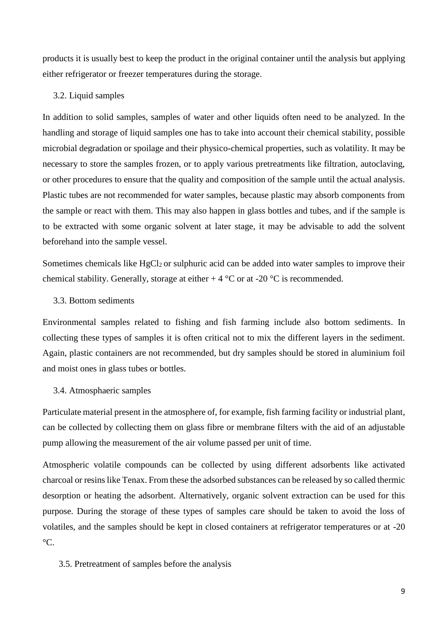products it is usually best to keep the product in the original container until the analysis but applying either refrigerator or freezer temperatures during the storage.

#### 3.2. Liquid samples

In addition to solid samples, samples of water and other liquids often need to be analyzed. In the handling and storage of liquid samples one has to take into account their chemical stability, possible microbial degradation or spoilage and their physico-chemical properties, such as volatility. It may be necessary to store the samples frozen, or to apply various pretreatments like filtration, autoclaving, or other procedures to ensure that the quality and composition of the sample until the actual analysis. Plastic tubes are not recommended for water samples, because plastic may absorb components from the sample or react with them. This may also happen in glass bottles and tubes, and if the sample is to be extracted with some organic solvent at later stage, it may be advisable to add the solvent beforehand into the sample vessel.

Sometimes chemicals like  $HgCl<sub>2</sub>$  or sulphuric acid can be added into water samples to improve their chemical stability. Generally, storage at either  $+ 4 \degree C$  or at -20  $\degree C$  is recommended.

# 3.3. Bottom sediments

Environmental samples related to fishing and fish farming include also bottom sediments. In collecting these types of samples it is often critical not to mix the different layers in the sediment. Again, plastic containers are not recommended, but dry samples should be stored in aluminium foil and moist ones in glass tubes or bottles.

#### 3.4. Atmosphaeric samples

Particulate material present in the atmosphere of, for example, fish farming facility or industrial plant, can be collected by collecting them on glass fibre or membrane filters with the aid of an adjustable pump allowing the measurement of the air volume passed per unit of time.

Atmospheric volatile compounds can be collected by using different adsorbents like activated charcoal or resins like Tenax. From these the adsorbed substances can be released by so called thermic desorption or heating the adsorbent. Alternatively, organic solvent extraction can be used for this purpose. During the storage of these types of samples care should be taken to avoid the loss of volatiles, and the samples should be kept in closed containers at refrigerator temperatures or at -20  $\rm{^{\circ}C}.$ 

3.5. Pretreatment of samples before the analysis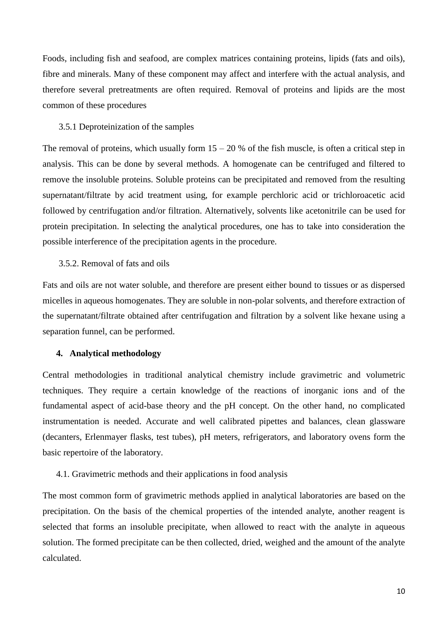Foods, including fish and seafood, are complex matrices containing proteins, lipids (fats and oils), fibre and minerals. Many of these component may affect and interfere with the actual analysis, and therefore several pretreatments are often required. Removal of proteins and lipids are the most common of these procedures

#### 3.5.1 Deproteinization of the samples

The removal of proteins, which usually form  $15 - 20$  % of the fish muscle, is often a critical step in analysis. This can be done by several methods. A homogenate can be centrifuged and filtered to remove the insoluble proteins. Soluble proteins can be precipitated and removed from the resulting supernatant/filtrate by acid treatment using, for example perchloric acid or trichloroacetic acid followed by centrifugation and/or filtration. Alternatively, solvents like acetonitrile can be used for protein precipitation. In selecting the analytical procedures, one has to take into consideration the possible interference of the precipitation agents in the procedure.

#### 3.5.2. Removal of fats and oils

Fats and oils are not water soluble, and therefore are present either bound to tissues or as dispersed micelles in aqueous homogenates. They are soluble in non-polar solvents, and therefore extraction of the supernatant/filtrate obtained after centrifugation and filtration by a solvent like hexane using a separation funnel, can be performed.

#### **4. Analytical methodology**

Central methodologies in traditional analytical chemistry include gravimetric and volumetric techniques. They require a certain knowledge of the reactions of inorganic ions and of the fundamental aspect of acid-base theory and the pH concept. On the other hand, no complicated instrumentation is needed. Accurate and well calibrated pipettes and balances, clean glassware (decanters, Erlenmayer flasks, test tubes), pH meters, refrigerators, and laboratory ovens form the basic repertoire of the laboratory.

#### 4.1. Gravimetric methods and their applications in food analysis

The most common form of gravimetric methods applied in analytical laboratories are based on the precipitation. On the basis of the chemical properties of the intended analyte, another reagent is selected that forms an insoluble precipitate, when allowed to react with the analyte in aqueous solution. The formed precipitate can be then collected, dried, weighed and the amount of the analyte calculated.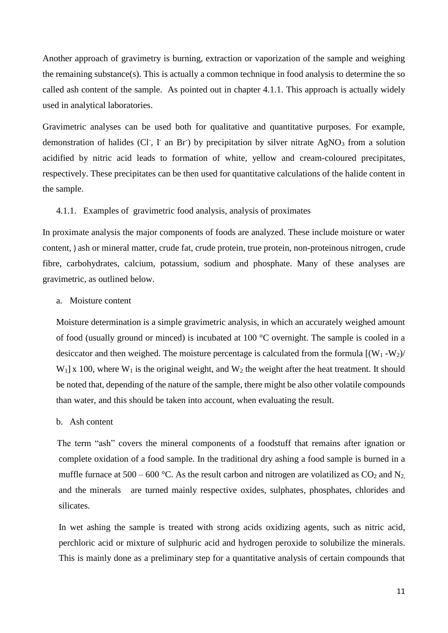Another approach of gravimetry is burning, extraction or vaporization of the sample and weighing the remaining substance(s). This is actually a common technique in food analysis to determine the so called ash content of the sample. As pointed out in chapter 4.1.1. This approach is actually widely used in analytical laboratories.

Gravimetric analyses can be used both for qualitative and quantitative purposes. For example, demonstration of halides (Cl<sup>-</sup>, I<sup>-</sup> an Br<sup>-</sup>) by precipitation by silver nitrate AgNO<sub>3</sub> from a solution acidified by nitric acid leads to formation of white, yellow and cream-coloured precipitates, respectively. These precipitates can be then used for quantitative calculations of the halide content in the sample.

#### 4.1.1. Examples of gravimetric food analysis, analysis of proximates

In proximate analysis the major components of foods are analyzed. These include moisture or water content, ) ash or mineral matter, crude fat, crude protein, true protein, non-proteinous nitrogen, crude fibre, carbohydrates, calcium, potassium, sodium and phosphate. Many of these analyses are gravimetric, as outlined below.

#### a. Moisture content

Moisture determination is a simple gravimetric analysis, in which an accurately weighed amount of food (usually ground or minced) is incubated at 100 °C overnight. The sample is cooled in a desiccator and then weighed. The moisture percentage is calculated from the formula  $[(W_1-W_2)/$  $W_1$ | x 100, where  $W_1$  is the original weight, and  $W_2$  the weight after the heat treatment. It should be noted that, depending of the nature of the sample, there might be also other volatile compounds than water, and this should be taken into account, when evaluating the result.

#### b. Ash content

 The term "ash" covers the mineral components of a foodstuff that remains after ignation or complete oxidation of a food sample. In the traditional dry ashing a food sample is burned in a muffle furnace at 500 – 600 °C. As the result carbon and nitrogen are volatilized as  $CO_2$  and N<sub>2</sub>. and the minerals are turned mainly respective oxides, sulphates, phosphates, chlorides and silicates.

In wet ashing the sample is treated with strong acids oxidizing agents, such as nitric acid, perchloric acid or mixture of sulphuric acid and hydrogen peroxide to solubilize the minerals. This is mainly done as a preliminary step for a quantitative analysis of certain compounds that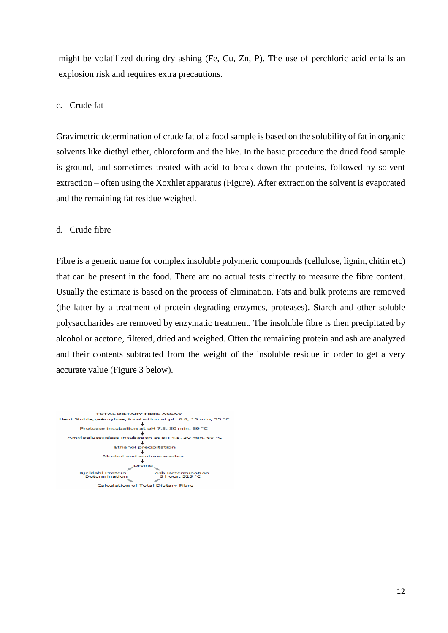might be volatilized during dry ashing (Fe, Cu, Zn, P). The use of perchloric acid entails an explosion risk and requires extra precautions.

## c. Crude fat

Gravimetric determination of crude fat of a food sample is based on the solubility of fat in organic solvents like diethyl ether, chloroform and the like. In the basic procedure the dried food sample is ground, and sometimes treated with acid to break down the proteins, followed by solvent extraction – often using the Xoxhlet apparatus (Figure). After extraction the solvent is evaporated and the remaining fat residue weighed.

#### d. Crude fibre

Fibre is a generic name for complex insoluble polymeric compounds (cellulose, lignin, chitin etc) that can be present in the food. There are no actual tests directly to measure the fibre content. Usually the estimate is based on the process of elimination. Fats and bulk proteins are removed (the latter by a treatment of protein degrading enzymes, proteases). Starch and other soluble polysaccharides are removed by enzymatic treatment. The insoluble fibre is then precipitated by alcohol or acetone, filtered, dried and weighed. Often the remaining protein and ash are analyzed and their contents subtracted from the weight of the insoluble residue in order to get a very accurate value (Figure 3 below).

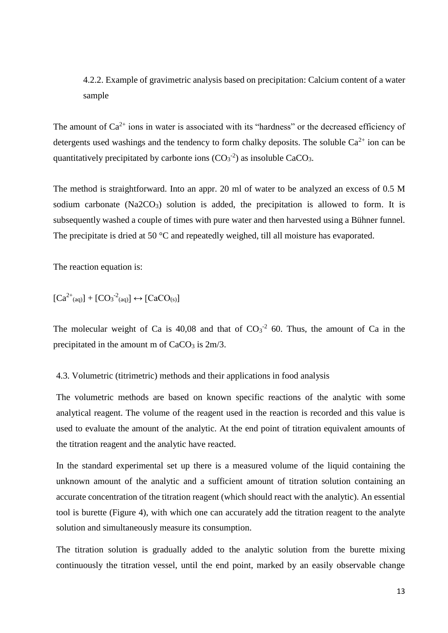# 4.2.2. Example of gravimetric analysis based on precipitation: Calcium content of a water sample

The amount of  $Ca^{2+}$  ions in water is associated with its "hardness" or the decreased efficiency of detergents used washings and the tendency to form chalky deposits. The soluble  $Ca^{2+}$  ion can be quantitatively precipitated by carbonte ions  $(CO<sub>3</sub><sup>-2</sup>)$  as insoluble CaCO<sub>3</sub>.

The method is straightforward. Into an appr. 20 ml of water to be analyzed an excess of 0.5 M sodium carbonate  $(Na2CO<sub>3</sub>)$  solution is added, the precipitation is allowed to form. It is subsequently washed a couple of times with pure water and then harvested using a Bühner funnel. The precipitate is dried at 50 °C and repeatedly weighed, till all moisture has evaporated.

The reaction equation is:

$$
[Ca^{2+}(aq)] + [CO3-2(aq)] \leftrightarrow [CaCO_{(s)}]
$$

The molecular weight of Ca is 40,08 and that of  $CO<sub>3</sub><sup>-2</sup>$  60. Thus, the amount of Ca in the precipitated in the amount m of  $CaCO<sub>3</sub>$  is  $2m/3$ .

#### 4.3. Volumetric (titrimetric) methods and their applications in food analysis

The volumetric methods are based on known specific reactions of the analytic with some analytical reagent. The volume of the reagent used in the reaction is recorded and this value is used to evaluate the amount of the analytic. At the end point of titration equivalent amounts of the titration reagent and the analytic have reacted.

In the standard experimental set up there is a measured volume of the liquid containing the unknown amount of the analytic and a sufficient amount of titration solution containing an accurate concentration of the titration reagent (which should react with the analytic). An essential tool is burette (Figure 4), with which one can accurately add the titration reagent to the analyte solution and simultaneously measure its consumption.

The titration solution is gradually added to the analytic solution from the burette mixing continuously the titration vessel, until the end point, marked by an easily observable change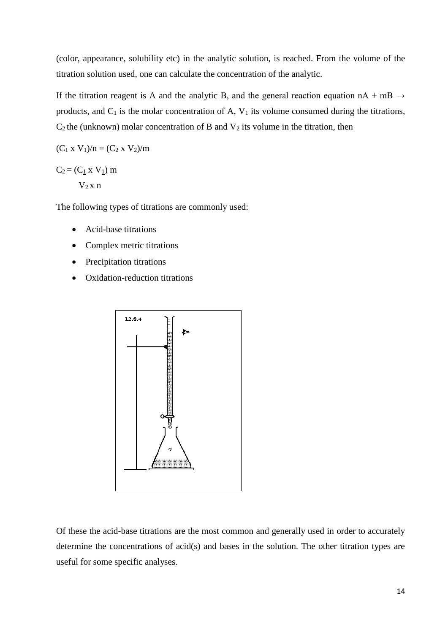(color, appearance, solubility etc) in the analytic solution, is reached. From the volume of the titration solution used, one can calculate the concentration of the analytic.

If the titration reagent is A and the analytic B, and the general reaction equation  $nA + mB \rightarrow$ products, and  $C_1$  is the molar concentration of A,  $V_1$  its volume consumed during the titrations,  $C_2$  the (unknown) molar concentration of B and  $V_2$  its volume in the titration, then

$$
(C_1 \times V_1)/n = (C_2 \times V_2)/m
$$

 $C_2 = (C_1 \times V_1) \text{ m}$  $V_2$  x n

The following types of titrations are commonly used:

- Acid-base titrations
- Complex metric titrations
- Precipitation titrations
- Oxidation-reduction titrations



Of these the acid-base titrations are the most common and generally used in order to accurately determine the concentrations of acid(s) and bases in the solution. The other titration types are useful for some specific analyses.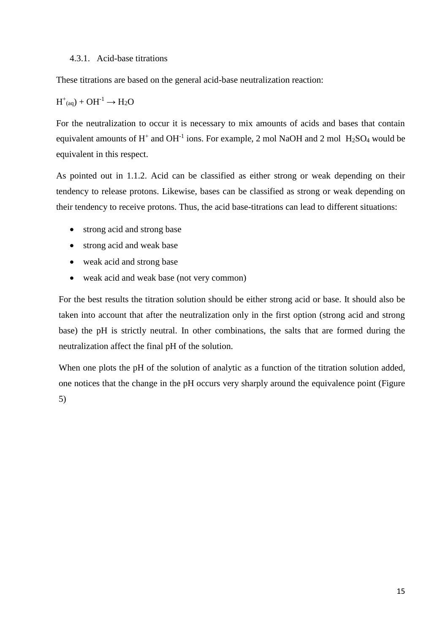## 4.3.1. Acid-base titrations

These titrations are based on the general acid-base neutralization reaction:

# $H^+_{(aq)}$  + OH<sup>-1</sup>  $\rightarrow$  H<sub>2</sub>O

For the neutralization to occur it is necessary to mix amounts of acids and bases that contain equivalent amounts of  $H^+$  and  $OH^{-1}$  ions. For example, 2 mol NaOH and 2 mol  $H_2SO_4$  would be equivalent in this respect.

As pointed out in 1.1.2. Acid can be classified as either strong or weak depending on their tendency to release protons. Likewise, bases can be classified as strong or weak depending on their tendency to receive protons. Thus, the acid base-titrations can lead to different situations:

- strong acid and strong base
- strong acid and weak base
- weak acid and strong base
- weak acid and weak base (not very common)

For the best results the titration solution should be either strong acid or base. It should also be taken into account that after the neutralization only in the first option (strong acid and strong base) the pH is strictly neutral. In other combinations, the salts that are formed during the neutralization affect the final pH of the solution.

When one plots the pH of the solution of analytic as a function of the titration solution added, one notices that the change in the pH occurs very sharply around the equivalence point (Figure 5)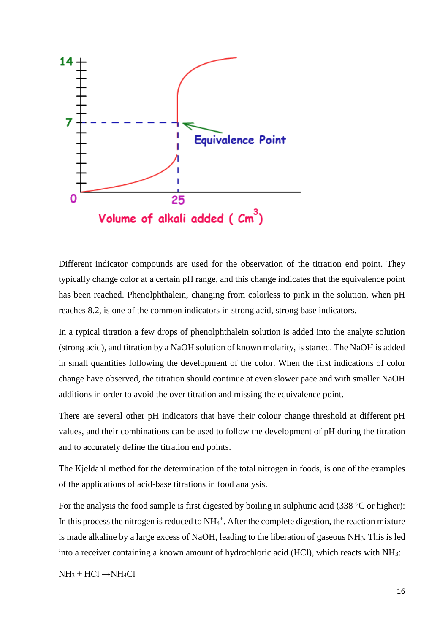

Different indicator compounds are used for the observation of the titration end point. They typically change color at a certain pH range, and this change indicates that the equivalence point has been reached. Phenolphthalein, changing from colorless to pink in the solution, when pH reaches 8.2, is one of the common indicators in strong acid, strong base indicators.

In a typical titration a few drops of phenolphthalein solution is added into the analyte solution (strong acid), and titration by a NaOH solution of known molarity, is started. The NaOH is added in small quantities following the development of the color. When the first indications of color change have observed, the titration should continue at even slower pace and with smaller NaOH additions in order to avoid the over titration and missing the equivalence point.

There are several other pH indicators that have their colour change threshold at different pH values, and their combinations can be used to follow the development of pH during the titration and to accurately define the titration end points.

The Kjeldahl method for the determination of the total nitrogen in foods, is one of the examples of the applications of acid-base titrations in food analysis.

For the analysis the food sample is first digested by boiling in sulphuric acid (338 °C or higher): In this process the nitrogen is reduced to  $NH_4^+$ . After the complete digestion, the reaction mixture is made alkaline by a large excess of NaOH, leading to the liberation of gaseous NH3. This is led into a receiver containing a known amount of hydrochloric acid (HCl), which reacts with NH3:

 $NH<sub>3</sub> + HCl \rightarrow NH<sub>4</sub>Cl$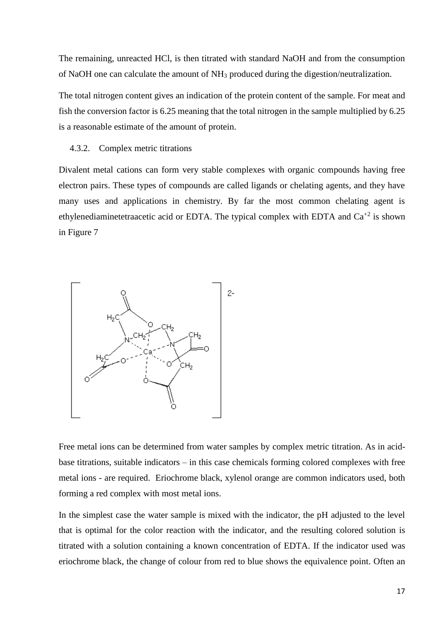The remaining, unreacted HCl, is then titrated with standard NaOH and from the consumption of NaOH one can calculate the amount of NH<sup>3</sup> produced during the digestion/neutralization.

The total nitrogen content gives an indication of the protein content of the sample. For meat and fish the conversion factor is 6.25 meaning that the total nitrogen in the sample multiplied by 6.25 is a reasonable estimate of the amount of protein.

#### 4.3.2. Complex metric titrations

Divalent metal cations can form very stable complexes with organic compounds having free electron pairs. These types of compounds are called ligands or chelating agents, and they have many uses and applications in chemistry. By far the most common chelating agent is ethylenediaminetetraacetic acid or EDTA. The typical complex with EDTA and  $Ca^{+2}$  is shown in Figure 7



Free metal ions can be determined from water samples by complex metric titration. As in acidbase titrations, suitable indicators – in this case chemicals forming colored complexes with free metal ions - are required. Eriochrome black, xylenol orange are common indicators used, both forming a red complex with most metal ions.

In the simplest case the water sample is mixed with the indicator, the pH adjusted to the level that is optimal for the color reaction with the indicator, and the resulting colored solution is titrated with a solution containing a known concentration of EDTA. If the indicator used was eriochrome black, the change of colour from red to blue shows the equivalence point. Often an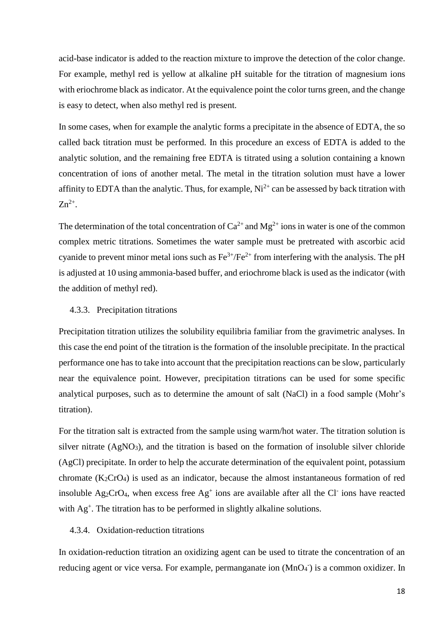acid-base indicator is added to the reaction mixture to improve the detection of the color change. For example, methyl red is yellow at alkaline pH suitable for the titration of magnesium ions with eriochrome black as indicator. At the equivalence point the color turns green, and the change is easy to detect, when also methyl red is present.

In some cases, when for example the analytic forms a precipitate in the absence of EDTA, the so called back titration must be performed. In this procedure an excess of EDTA is added to the analytic solution, and the remaining free EDTA is titrated using a solution containing a known concentration of ions of another metal. The metal in the titration solution must have a lower affinity to EDTA than the analytic. Thus, for example,  $Ni^{2+}$  can be assessed by back titration with  $Zn^{2+}$ .

The determination of the total concentration of  $Ca^{2+}$  and  $Mg^{2+}$  ions in water is one of the common complex metric titrations. Sometimes the water sample must be pretreated with ascorbic acid cyanide to prevent minor metal ions such as  $Fe^{3+}/Fe^{2+}$  from interfering with the analysis. The pH is adjusted at 10 using ammonia-based buffer, and eriochrome black is used as the indicator (with the addition of methyl red).

#### 4.3.3. Precipitation titrations

Precipitation titration utilizes the solubility equilibria familiar from the gravimetric analyses. In this case the end point of the titration is the formation of the insoluble precipitate. In the practical performance one has to take into account that the precipitation reactions can be slow, particularly near the equivalence point. However, precipitation titrations can be used for some specific analytical purposes, such as to determine the amount of salt (NaCl) in a food sample (Mohr's titration).

For the titration salt is extracted from the sample using warm/hot water. The titration solution is silver nitrate (AgNO<sub>3</sub>), and the titration is based on the formation of insoluble silver chloride (AgCl) precipitate. In order to help the accurate determination of the equivalent point, potassium chromate (K2CrO4) is used as an indicator, because the almost instantaneous formation of red insoluble Ag<sub>2</sub>CrO<sub>4</sub>, when excess free  $Ag<sup>+</sup>$  ions are available after all the Cl<sup>-</sup> ions have reacted with Ag<sup>+</sup>. The titration has to be performed in slightly alkaline solutions.

# 4.3.4. Oxidation-reduction titrations

In oxidation-reduction titration an oxidizing agent can be used to titrate the concentration of an reducing agent or vice versa. For example, permanganate ion (MnO<sub>4</sub><sup>-</sup>) is a common oxidizer. In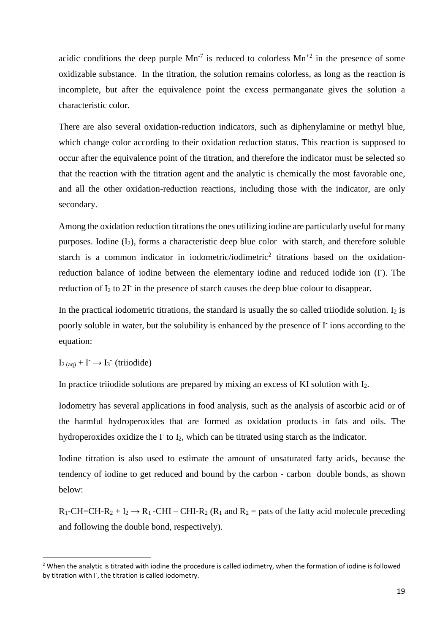acidic conditions the deep purple  $Mn^{-7}$  is reduced to colorless  $Mn^{+2}$  in the presence of some oxidizable substance. In the titration, the solution remains colorless, as long as the reaction is incomplete, but after the equivalence point the excess permanganate gives the solution a characteristic color.

There are also several oxidation-reduction indicators, such as diphenylamine or methyl blue, which change color according to their oxidation reduction status. This reaction is supposed to occur after the equivalence point of the titration, and therefore the indicator must be selected so that the reaction with the titration agent and the analytic is chemically the most favorable one, and all the other oxidation-reduction reactions, including those with the indicator, are only secondary.

Among the oxidation reduction titrations the ones utilizing iodine are particularly useful for many purposes. Iodine  $(I_2)$ , forms a characteristic deep blue color with starch, and therefore soluble starch is a common indicator in iodometric/iodimetric<sup>2</sup> titrations based on the oxidationreduction balance of iodine between the elementary iodine and reduced iodide ion (I). The reduction of  $I_2$  to  $2I<sub>i</sub>$  in the presence of starch causes the deep blue colour to disappear.

In the practical iodometric titrations, the standard is usually the so called triiodide solution. I<sub>2</sub> is poorly soluble in water, but the solubility is enhanced by the presence of I ions according to the equation:

 $I_{2(aq)} + I \rightarrow I_{3}$ <sup>-</sup> (triiodide)

1

In practice triiodide solutions are prepared by mixing an excess of KI solution with I2.

Iodometry has several applications in food analysis, such as the analysis of ascorbic acid or of the harmful hydroperoxides that are formed as oxidation products in fats and oils. The hydroperoxides oxidize the  $\Gamma$  to  $I_2$ , which can be titrated using starch as the indicator.

Iodine titration is also used to estimate the amount of unsaturated fatty acids, because the tendency of iodine to get reduced and bound by the carbon - carbon double bonds, as shown below:

 $R_1$ -CH=CH-R<sub>2</sub> + I<sub>2</sub>  $\rightarrow$  R<sub>1</sub> -CHI – CHI-R<sub>2</sub> (R<sub>1</sub> and R<sub>2</sub> = pats of the fatty acid molecule preceding and following the double bond, respectively).

<sup>&</sup>lt;sup>2</sup> When the analytic is titrated with iodine the procedure is called iodimetry, when the formation of iodine is followed by titration with I<sup>-</sup>, the titration is called iodometry.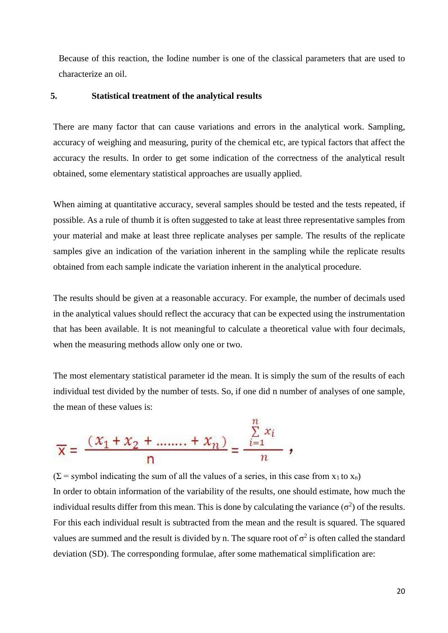Because of this reaction, the Iodine number is one of the classical parameters that are used to characterize an oil.

# **5. Statistical treatment of the analytical results**

There are many factor that can cause variations and errors in the analytical work. Sampling, accuracy of weighing and measuring, purity of the chemical etc, are typical factors that affect the accuracy the results. In order to get some indication of the correctness of the analytical result obtained, some elementary statistical approaches are usually applied.

When aiming at quantitative accuracy, several samples should be tested and the tests repeated, if possible. As a rule of thumb it is often suggested to take at least three representative samples from your material and make at least three replicate analyses per sample. The results of the replicate samples give an indication of the variation inherent in the sampling while the replicate results obtained from each sample indicate the variation inherent in the analytical procedure.

The results should be given at a reasonable accuracy. For example, the number of decimals used in the analytical values should reflect the accuracy that can be expected using the instrumentation that has been available. It is not meaningful to calculate a theoretical value with four decimals, when the measuring methods allow only one or two.

The most elementary statistical parameter id the mean. It is simply the sum of the results of each individual test divided by the number of tests. So, if one did n number of analyses of one sample, the mean of these values is:

 $262$ 

$$
\overline{x} = \frac{(x_1 + x_2 + \dots + x_n)}{n} = \frac{\sum_{i=1}^{n} x_i}{n},
$$

 $(\Sigma =$  symbol indicating the sum of all the values of a series, in this case from x<sub>1</sub> to x<sub>n</sub>) In order to obtain information of the variability of the results, one should estimate, how much the individual results differ from this mean. This is done by calculating the variance  $(\sigma^2)$  of the results. For this each individual result is subtracted from the mean and the result is squared. The squared values are summed and the result is divided by n. The square root of  $\sigma^2$  is often called the standard deviation (SD). The corresponding formulae, after some mathematical simplification are: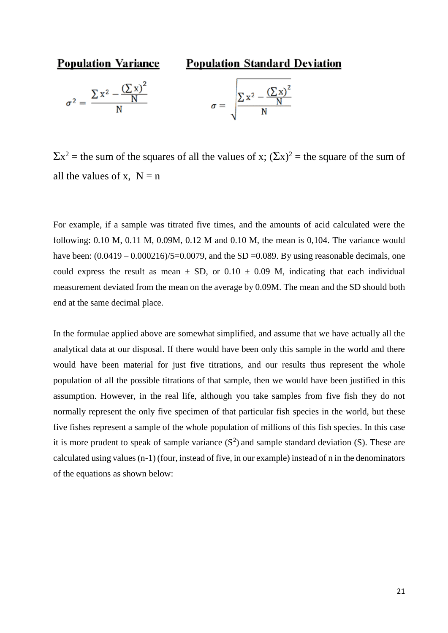

 $\Sigma x^2$  = the sum of the squares of all the values of x;  $(\Sigma x)^2$  = the square of the sum of all the values of x,  $N = n$ 

For example, if a sample was titrated five times, and the amounts of acid calculated were the following: 0.10 M, 0.11 M, 0.09M, 0.12 M and 0.10 M, the mean is 0,104. The variance would have been:  $(0.0419 - 0.000216)/5 = 0.0079$ , and the SD = 0.089. By using reasonable decimals, one could express the result as mean  $\pm$  SD, or 0.10  $\pm$  0.09 M, indicating that each individual measurement deviated from the mean on the average by 0.09M. The mean and the SD should both end at the same decimal place.

In the formulae applied above are somewhat simplified, and assume that we have actually all the analytical data at our disposal. If there would have been only this sample in the world and there would have been material for just five titrations, and our results thus represent the whole population of all the possible titrations of that sample, then we would have been justified in this assumption. However, in the real life, although you take samples from five fish they do not normally represent the only five specimen of that particular fish species in the world, but these five fishes represent a sample of the whole population of millions of this fish species. In this case it is more prudent to speak of sample variance  $(S^2)$  and sample standard deviation  $(S)$ . These are calculated using values (n-1) (four, instead of five, in our example) instead of n in the denominators of the equations as shown below: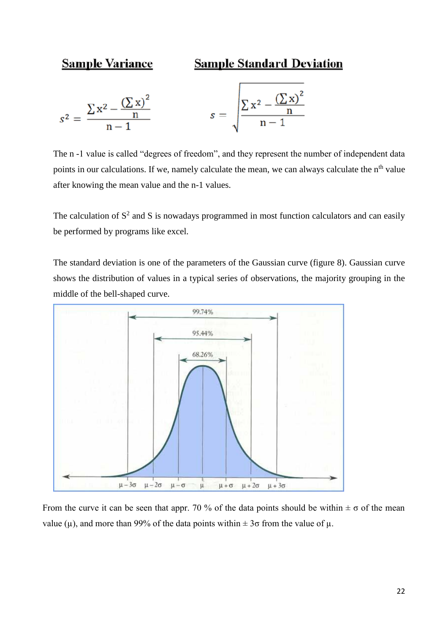# **Sample Variance**

# **Sample Standard Deviation**

$$
s^{2} = \frac{\sum x^{2} - \frac{(\sum x)^{2}}{n}}{n-1} \qquad s = \sqrt{\frac{\sum x^{2} - \frac{(\sum x)^{2}}{n}}{n-1}}
$$

The n -1 value is called "degrees of freedom", and they represent the number of independent data points in our calculations. If we, namely calculate the mean, we can always calculate the n<sup>th</sup> value after knowing the mean value and the n-1 values.

The calculation of  $S^2$  and S is nowadays programmed in most function calculators and can easily be performed by programs like excel.

The standard deviation is one of the parameters of the Gaussian curve (figure 8). Gaussian curve shows the distribution of values in a typical series of observations, the majority grouping in the middle of the bell-shaped curve.



From the curve it can be seen that appr. 70 % of the data points should be within  $\pm \sigma$  of the mean value ( $\mu$ ), and more than 99% of the data points within  $\pm 3\sigma$  from the value of  $\mu$ .